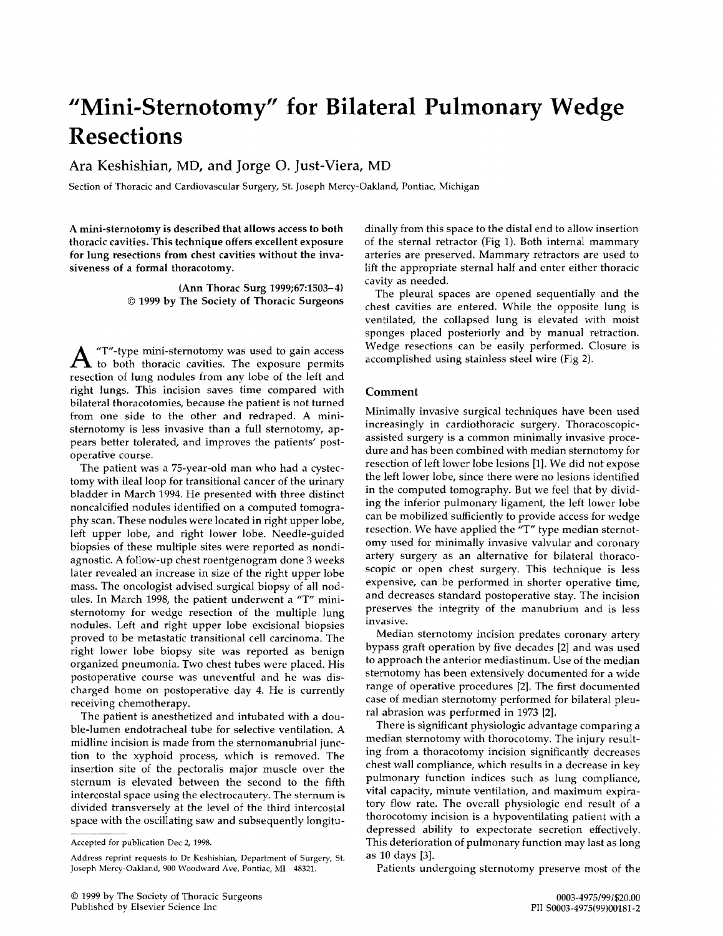## **"Mini-Sternotomy" for Bilateral Pulmonary Wedge Resections**

## Ara Keshishian, MD, and Jorge O. Just-Viera, MD

Section of Thoracic and Cardiovascular Surgery, St. Joseph Mercy-Oakland, Pontiac, Michigan

A mini-sternotomy is described that allows access to both thoracic cavities. This technique offers excellent exposure for lung resections from chest cavities without the invasiveness of a formal thoracotomy.

> (Ann Thorac Surg 1999;67:1503-4) © 1999 by The Society of Thoracic Surgeons

 $A$  "T"-type mini-sternotomy was used to gain access to both thoracic cavities. The exposure permits resection of lung nodules from any lobe of the left and right lungs. This incision saves time compared with bilateral thoracotomies, because the patient is not turned from one side to the other and redraped. A ministernotomy is less invasive than a full sternotomy, appears better tolerated, and improves the patients' postoperative course.

The patient was a 75-year-old man who had a cystectomy with ileal loop for transitional cancer of the urinary bladder in March 1994. He presented with three distinct noncalcified nodules identified on a computed tomography scan. These nodules were located in right upper lobe, left upper lobe, and right lower lobe. Needle-guided biopsies of these multiple sites were reported as nondiagnostic. A follow-up chest roentgenogram done 3 weeks later revealed an increase in size of the right upper lobe mass. The oncologist advised surgical biopsy of all nodules. In March 1998, the patient underwent a "T" ministernotomy for wedge resection of the multiple lung nodules. Left and right upper lobe excisional biopsies proved to be metastatic transitional cell carcinoma. The right lower lobe biopsy site was reported as benign organized pneumonia. Two chest tubes were placed. His postoperative course was uneventful and he was discharged home on postoperative day 4. He is currently receiving chemotherapy.

The patient is anesthetized and intubated with a double-lumen endotracheal tube for selective ventilation. A midline incision is made from the sternomanubrial junction to the xyphoid process, which is removed. The insertion site of the pectoralis major muscle over the sternum is elevated between the second to the fifth intercostal space using the electrocautery. The sternum is divided transversely at the level of the third intercostal space with the oscillating saw and subsequently longitudinally from this space to the distal end to allow insertion of the sternal retractor (Fig 1). Both internal mammary arteries are preserved. Mammary retractors are used to lift the appropriate sternal half and enter either thoracic cavity as needed.

The pleural spaces are opened sequentially and the chest cavities are entered. While the opposite lung is ventilated, the collapsed lung is elevated with moist sponges placed posteriorly and by manual retraction. Wedge resections can be easily performed. Closure is accomplished using stainless steel wire (Fig 2).

## Comment

Minimally invasive surgical techniques have been used increasingly in cardiothoracic surgery. Thoracoscopicassisted surgery is a common minimally invasive procedure and has been combined with median sternotomy for resection of left lower lobe lesions [1]. We did not expose the left lower lobe, since there were no lesions identified in the computed tomography. But we feel that by dividing the inferior pulmonary ligament, the left lower lobe can be mobilized sufficiently to provide access for wedge resection. We have applied the "T" type median sternotomy used for minimally invasive valvular and coronary artery surgery as an alternative for bilateral thoracoscopic or open chest surgery. This technique is less expensive, can be performed in shorter operative time, and decreases standard postoperative stay. The incision preserves the integrity of the manubrium and is less invasive.

Median sternotomy incision predates coronary artery bypass graft operation by five decades [2] and was used to approach the anterior mediastinum. Use of the median sternotomy has been extensively documented for a wide range of operative procedures [2]. The first documented case of median sternotomy performed for bilateral pleural abrasion was performed in 1973 [2].

There is significant physiologic advantage comparing a median sternotomy with thorocotomy. The injury resulting from a thoracotomy incision significantly decreases chest wall compliance, which results in a decrease in key pulmonary function indices such as lung compliance, vital capacity, minute ventilation, and maximum expiratory flow rate. The overall physiologic end result of a thorocotomy incision is a hypoventilating patient with a depressed ability to expectorate secretion effectively. This deterioration of pulmonary function may last as long as 10 days [3].

Patients undergoing sternotomy preserve most of the

Accepted for publication Dec 2, 1998.

Address reprint requests to Dr Keshishian, Department of Surgery, 51. Joseph Mercy-Oakland, 900 Woodward Ave, Pontiac, MI 48321.